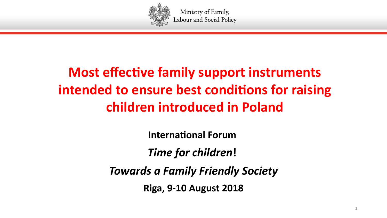

# **Most effective family support instruments** intended to ensure best conditions for raising **ehildren introdueed in Poland**

**International Forum** 

*Time for children***!** 

*Towards a Family Friendly Society*

**Riga, 9-10 August 2018**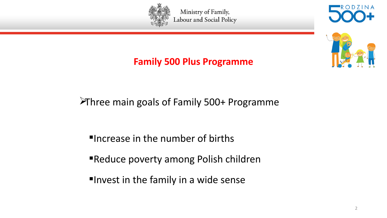





#### **Family 500 Plus Programme**

### Three main goals of Family 500+ Programme

- Increase in the number of births
- Reduce poverty among Polish children
- **"Invest in the family in a wide sense**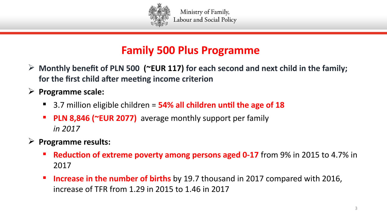

## **Family 500 Plus Programme**

- **Monthly beneft of PLN 500 (~EUR 117) for eaeh seeond and next ehild in the family;**  for the first child after meeting income criterion
- **Programme seale:**
	- 3.7 million eligible children = 54% all children until the age of 18
	- **PLN 8,846 (~EUR 2077)** average monthly support per family *in 2017*
- **Programme results:**
	- **Reduction of extreme poverty among persons aged 0-17** from 9% in 2015 to 4.7% in 2017
	- **Increase in the number of births** by 19.7 thousand in 2017 compared with 2016, increase of TFR from 1.29 in 2015 to 1.46 in 2017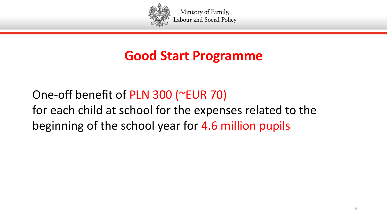

## **Good Start Programme**

One-off benefit of PLN 300 (~EUR 70) for each child at school for the expenses related to the beginning of the school year for 4.6 million pupils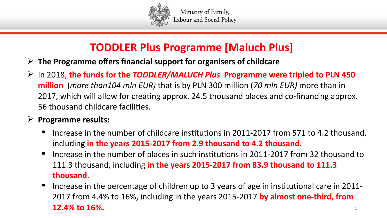

## **TODDLER Plus Programme [Malueh Plus]**

- **Fig. 2** The Programme offers financial support for organisers of childcare
- In 2018, **the funds for the** *TODDLER/MALUCH Plus* **Programme were tripled to PLN 450 million** (*more than104 mln EUR)* that is by PLN 300 million (*70 mln EUR)* more than in 2017, which will allow for creating approx. 24.5 thousand places and co-financing approx. 56 thousand childcare facilites.

#### **Programme results:**

- Increase in the number of childcare insttutons in 2011-2017 from 571 to 4.2 thousand, including **in the years 2015-2017 from 2.9 thousand to 4.2 thousand**.
- Increase in the number of places in such institutions in 2011-2017 from 32 thousand to 111.3 thousand, including **in the years 2015-2017 from 83.9 thousand to 111.3 thousand**.
- Increase in the percentage of children up to 3 years of age in institutional care in 2011-2017 from 4.4% to 16%, including in the years 2015-2017 **by almost one-third, from 12.4% to 16%.** Superior and the set of the set of the set of the set of the set of the set of the set of the set of the set of the set of the set of the set of the set of the set of the set of the set of the set of the se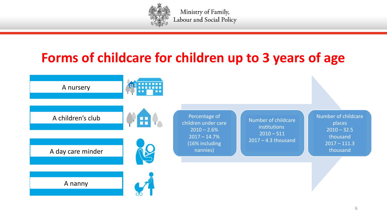

## **Forms of ehildeare for ehildren up to 3 years of age**